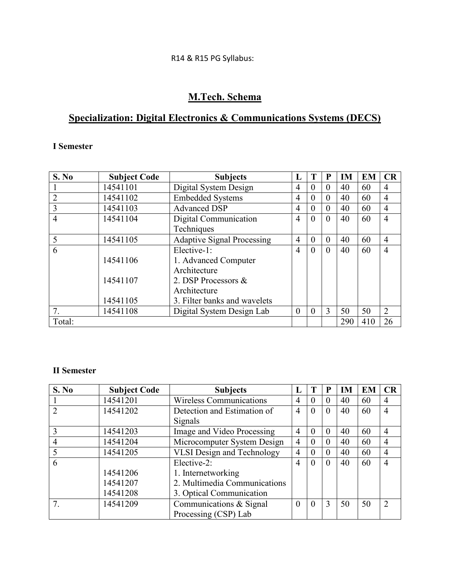# R14 & R15 PG Syllabus:

# **M.Tech. Schema**

# **Specialization: Digital Electronics & Communications Systems (DECS)**

# **I Semester**

| S. No          | <b>Subject Code</b> | <b>Subjects</b>                   | п,             |                | P        | <b>IM</b> | <b>EM</b> | <b>CR</b>      |
|----------------|---------------------|-----------------------------------|----------------|----------------|----------|-----------|-----------|----------------|
|                | 14541101            | Digital System Design             | 4              | $\theta$       | $\theta$ | 40        | 60        | $\overline{4}$ |
| $\overline{2}$ | 14541102            | <b>Embedded Systems</b>           | $\overline{4}$ | $\overline{0}$ | $\theta$ | 40        | 60        | $\overline{4}$ |
| 3              | 14541103            | <b>Advanced DSP</b>               | 4              | $\overline{0}$ | $\theta$ | 40        | 60        | $\overline{4}$ |
| $\overline{4}$ | 14541104            | Digital Communication             | 4              | $\overline{0}$ | $\theta$ | 40        | 60        | $\overline{4}$ |
|                |                     | Techniques                        |                |                |          |           |           |                |
| 5              | 14541105            | <b>Adaptive Signal Processing</b> | $\overline{4}$ | $\theta$       | $\theta$ | 40        | 60        | $\overline{4}$ |
| 6              |                     | Elective-1:                       | 4              | $\theta$       | $\theta$ | 40        | 60        | $\overline{4}$ |
|                | 14541106            | 1. Advanced Computer              |                |                |          |           |           |                |
|                |                     | Architecture                      |                |                |          |           |           |                |
|                | 14541107            | 2. DSP Processors &               |                |                |          |           |           |                |
|                |                     | Architecture                      |                |                |          |           |           |                |
|                | 14541105            | 3. Filter banks and wavelets      |                |                |          |           |           |                |
| 7.             | 14541108            | Digital System Design Lab         | $\theta$       | $\theta$       | 3        | 50        | 50        | 2              |
| Total:         |                     |                                   |                |                |          | 290       | 410       | 26             |

# **II Semester**

| S. No                         | <b>Subject Code</b> | <b>Subjects</b>                   | L              |          | P        | <b>IM</b> | <b>EM</b> | CR             |
|-------------------------------|---------------------|-----------------------------------|----------------|----------|----------|-----------|-----------|----------------|
|                               | 14541201            | <b>Wireless Communications</b>    | $\overline{4}$ | 0        | $\theta$ | 40        | 60        | $\overline{4}$ |
| $\mathfrak{D}_{\mathfrak{p}}$ | 14541202            | Detection and Estimation of       | 4              | $\theta$ | $\theta$ | 40        | 60        | $\overline{4}$ |
|                               |                     | Signals                           |                |          |          |           |           |                |
|                               | 14541203            | Image and Video Processing        | 4              | $\Omega$ | $\theta$ | 40        | 60        | $\overline{4}$ |
| $\overline{4}$                | 14541204            | Microcomputer System Design       | 4              | 0        | $\theta$ | 40        | 60        | $\overline{4}$ |
|                               | 14541205            | <b>VLSI Design and Technology</b> | 4              | $\theta$ | $\theta$ | 40        | 60        | $\overline{4}$ |
| 6                             |                     | Elective-2:                       | 4              | $\theta$ | $\theta$ | 40        | 60        | $\overline{4}$ |
|                               | 14541206            | 1. Internetworking                |                |          |          |           |           |                |
|                               | 14541207            | 2. Multimedia Communications      |                |          |          |           |           |                |
|                               | 14541208            | 3. Optical Communication          |                |          |          |           |           |                |
|                               | 14541209            | Communications & Signal           | $\Omega$       | $\theta$ | 3        | 50        | 50        | $\mathcal{D}$  |
|                               |                     | Processing (CSP) Lab              |                |          |          |           |           |                |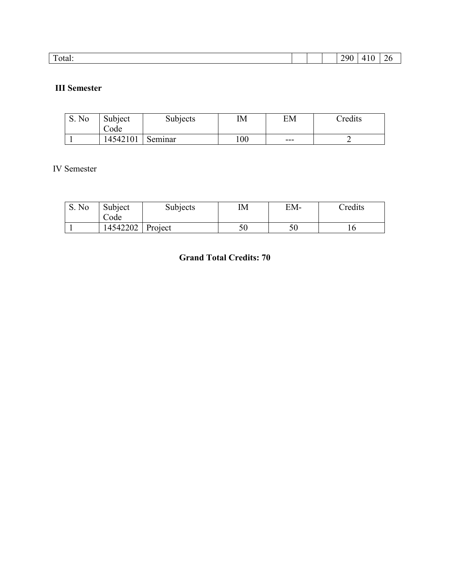| $\mathbf{r}$<br>. .<br>290<br>`otal:<br>$\sqrt{ }$<br>◡<br>- - |  |  |  |  |
|----------------------------------------------------------------|--|--|--|--|
|                                                                |  |  |  |  |

# **III Semester**

| S. No | Subject<br>ode. | Subjects | IΜ  | EM  | <i>c</i> redits |
|-------|-----------------|----------|-----|-----|-----------------|
|       | 14542101        | Seminar  | 100 | --- |                 |

# IV Semester

| S. No | Subject<br>$\cup$ ode | <b>Subjects</b> | ΙM | EM- | Credits |
|-------|-----------------------|-----------------|----|-----|---------|
|       | 14542202              | Project         | 50 |     |         |

# **Grand Total Credits: 70**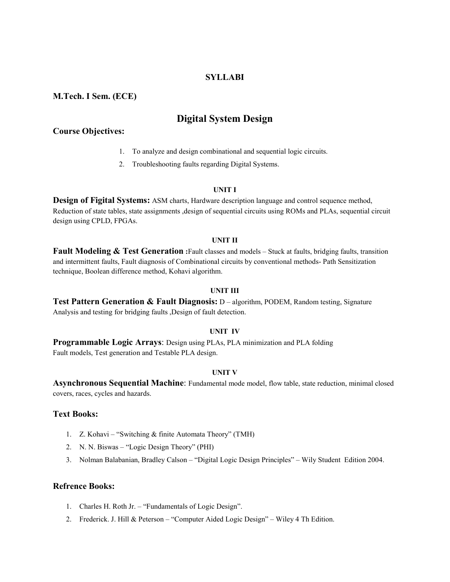#### **SYLLABI**

#### **M.Tech. I Sem. (ECE)**

# **Digital System Design**

#### **Course Objectives:**

- 1. To analyze and design combinational and sequential logic circuits.
- 2. Troubleshooting faults regarding Digital Systems.

#### **UNIT I**

**Design of Figital Systems:** ASM charts, Hardware description language and control sequence method, Reduction of state tables, state assignments ,design of sequential circuits using ROMs and PLAs, sequential circuit design using CPLD, FPGAs.

#### **UNIT II**

**Fault Modeling & Test Generation :**Fault classes and models – Stuck at faults, bridging faults, transition and intermittent faults, Fault diagnosis of Combinational circuits by conventional methods- Path Sensitization technique, Boolean difference method, Kohavi algorithm.

#### **UNIT III**

## **Test Pattern Generation & Fault Diagnosis:** D – algorithm, PODEM, Random testing, Signature Analysis and testing for bridging faults ,Design of fault detection.

#### **UNIT IV**

**Programmable Logic Arrays**: Design using PLAs, PLA minimization and PLA folding Fault models, Test generation and Testable PLA design.

#### **UNIT V**

**Asynchronous Sequential Machine**: Fundamental mode model, flow table, state reduction, minimal closed covers, races, cycles and hazards.

#### **Text Books:**

- 1. Z. Kohavi "Switching & finite Automata Theory" (TMH)
- 2. N. N. Biswas "Logic Design Theory" (PHI)
- 3. Nolman Balabanian, Bradley Calson "Digital Logic Design Principles" Wily Student Edition 2004.

- 1. Charles H. Roth Jr. "Fundamentals of Logic Design".
- 2. Frederick. J. Hill & Peterson "Computer Aided Logic Design" Wiley 4 Th Edition.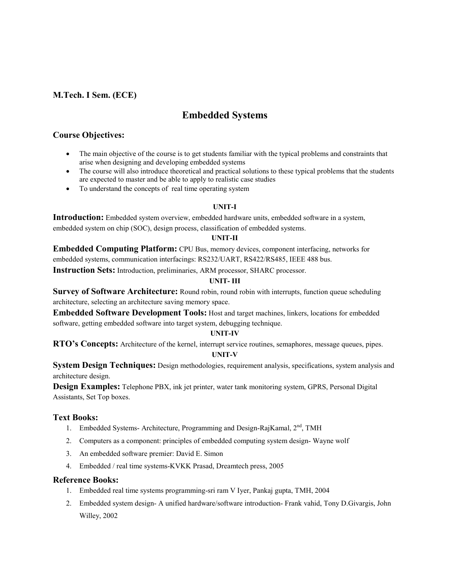# **Embedded Systems**

# **Course Objectives:**

- The main objective of the course is to get students familiar with the typical problems and constraints that arise when designing and developing embedded systems
- The course will also introduce theoretical and practical solutions to these typical problems that the students are expected to master and be able to apply to realistic case studies
- To understand the concepts of real time operating system

## **UNIT-I**

**Introduction:** Embedded system overview, embedded hardware units, embedded software in a system, embedded system on chip (SOC), design process, classification of embedded systems.

#### **UNIT-II**

**Embedded Computing Platform:** CPU Bus, memory devices, component interfacing, networks for embedded systems, communication interfacings: RS232/UART, RS422/RS485, IEEE 488 bus.

**Instruction Sets:** Introduction, preliminaries, ARM processor, SHARC processor.

## **UNIT- III**

**Survey of Software Architecture:** Round robin, round robin with interrupts, function queue scheduling architecture, selecting an architecture saving memory space.

**Embedded Software Development Tools:** Host and target machines, linkers, locations for embedded software, getting embedded software into target system, debugging technique.

## **UNIT-IV**

**RTO's Concepts:** Architecture of the kernel, interrupt service routines, semaphores, message queues, pipes.

#### **UNIT-V**

**System Design Techniques:** Design methodologies, requirement analysis, specifications, system analysis and architecture design.

**Design Examples:** Telephone PBX, ink jet printer, water tank monitoring system, GPRS, Personal Digital Assistants, Set Top boxes.

## **Text Books:**

- 1. Embedded Systems- Architecture, Programming and Design-RajKamal, 2<sup>nd</sup>, TMH
- 2. Computers as a component: principles of embedded computing system design- Wayne wolf
- 3. An embedded software premier: David E. Simon
- 4. Embedded / real time systems-KVKK Prasad, Dreamtech press, 2005

- 1. Embedded real time systems programming-sri ram V Iyer, Pankaj gupta, TMH, 2004
- 2. Embedded system design- A unified hardware/software introduction- Frank vahid, Tony D.Givargis, John Willey, 2002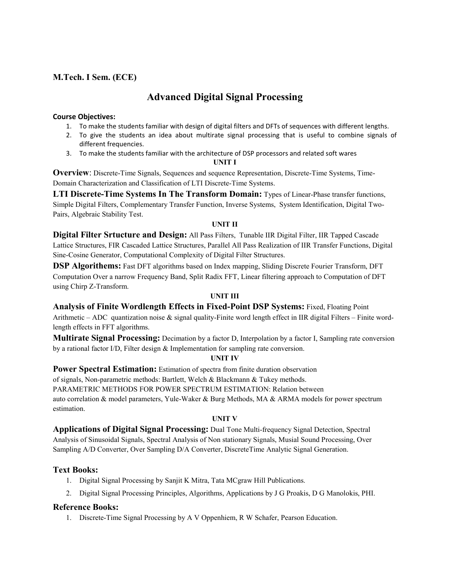# **Advanced Digital Signal Processing**

## **Course Objectives:**

- 1. To make the students familiar with design of digital filters and DFTs of sequences with different lengths.
- 2. To give the students an idea about multirate signal processing that is useful to combine signals of different frequencies.
- 3. To make the students familiar with the architecture of DSP processors and related soft wares

#### **UNIT I**

**Overview**: Discrete-Time Signals, Sequences and sequence Representation, Discrete-Time Systems, Time-Domain Characterization and Classification of LTI Discrete-Time Systems.

**LTI Discrete-Time Systems In The Transform Domain:** Types of Linear-Phase transfer functions, Simple Digital Filters, Complementary Transfer Function, Inverse Systems, System Identification, Digital Two-Pairs, Algebraic Stability Test.

## **UNIT II**

**Digital Filter Srtucture and Design:** All Pass Filters, Tunable IIR Digital Filter, IIR Tapped Cascade Lattice Structures, FIR Cascaded Lattice Structures, Parallel All Pass Realization of IIR Transfer Functions, Digital Sine-Cosine Generator, Computational Complexity of Digital Filter Structures.

**DSP Algorithems:** Fast DFT algorithms based on Index mapping, Sliding Discrete Fourier Transform, DFT Computation Over a narrow Frequency Band, Split Radix FFT, Linear filtering approach to Computation of DFT using Chirp Z-Transform.

## **UNIT III**

**Analysis of Finite Wordlength Effects in Fixed-Point DSP Systems:** Fixed, Floating Point Arithmetic – ADC quantization noise & signal quality-Finite word length effect in IIR digital Filters – Finite wordlength effects in FFT algorithms.

**Multirate Signal Processing:** Decimation by a factor D, Interpolation by a factor I, Sampling rate conversion by a rational factor I/D, Filter design & Implementation for sampling rate conversion.

## **UNIT IV**

**Power Spectral Estimation:** Estimation of spectra from finite duration observation

of signals, Non-parametric methods: Bartlett, Welch & Blackmann & Tukey methods. PARAMETRIC METHODS FOR POWER SPECTRUM ESTIMATION: Relation between auto correlation & model parameters, Yule-Waker & Burg Methods, MA & ARMA models for power spectrum estimation.

## **UNIT V**

**Applications of Digital Signal Processing:** Dual Tone Multi-frequency Signal Detection, Spectral Analysis of Sinusoidal Signals, Spectral Analysis of Non stationary Signals, Musial Sound Processing, Over Sampling A/D Converter, Over Sampling D/A Converter, DiscreteTime Analytic Signal Generation.

## **Text Books:**

- 1. Digital Signal Processing by Sanjit K Mitra, Tata MCgraw Hill Publications.
- 2. Digital Signal Processing Principles, Algorithms, Applications by J G Proakis, D G Manolokis, PHI.

## **Reference Books:**

1. Discrete-Time Signal Processing by A V Oppenhiem, R W Schafer, Pearson Education.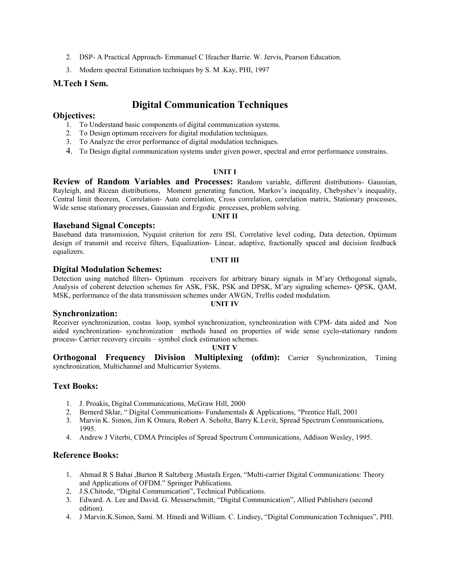- 2. DSP- A Practical Approach- Emmanuel C Ifeacher Barrie. W. Jervis, Pearson Education.
- 3. Modern spectral Estimation techniques by S. M .Kay, PHI, 1997

#### **M.Tech I Sem.**

# **Digital Communication Techniques**

#### **Objectives:**

- 1. To Understand basic components of digital communication systems.
- 2. To Design optimum receivers for digital modulation techniques.
- 3. To Analyze the error performance of digital modulation techniques.
- 4. To Design digital communication systems under given power, spectral and error performance constrains.

#### **UNIT I**

**Review of Random Variables and Processes:** Random variable, different distributions- Gaussian, Rayleigh, and Ricean distributions, Moment generating function, Markov's inequality, Chebyshev's inequality, Central limit theorem, Correlation- Auto correlation, Cross correlation, correlation matrix, Stationary processes, Wide sense stationary processes, Gaussian and Ergodic processes, problem solving.

**UNIT II**

#### **Baseband Signal Concepts:**

Baseband data transmission, Nyquist criterion for zero ISI, Correlative level coding, Data detection, Optimum design of transmit and receive filters, Equalization- Linear, adaptive, fractionally spaced and decision feedback equalizers.

#### **UNIT III**

#### **Digital Modulation Schemes:**

Detection using matched filters- Optimum receivers for arbitrary binary signals in M'ary Orthogonal signals, Analysis of coherent detection schemes for ASK, FSK, PSK and DPSK, M'ary signaling schemes- QPSK, QAM, MSK, performance of the data transmission schemes under AWGN, Trellis coded modulation.

#### **Synchronization:**

Receiver synchronization, costas loop, symbol synchronization, synchronization with CPM- data aided and Non aided synchronization- synchronization methods based on properties of wide sense cyclo-stationary random process- Carrier recovery circuits – symbol clock estimation schemes.

#### **UNIT V**

**Orthogonal Frequency Division Multiplexing (ofdm):** Carrier Synchronization, Timing synchronization, Multichannel and Multicarrier Systems.

## **Text Books:**

- 1. J. Proakis, Digital Communications, McGraw Hill, 2000
- 2. Bernerd Sklar, " Digital Communications- Fundamentals & Applications, "Prentice Hall, 2001
- 3. Marvin K. Simon, Jim K Omura, Robert A. Scholtz, Barry K.Levit, Spread Spectrum Communications, 1995.
- 4. Andrew J Viterbi, CDMA Principles of Spread Spectrum Communications, Addison Wesley, 1995.

## **Reference Books:**

- 1. Ahmad R S Bahai ,Burton R Saltzberg ,Mustafa Ergen, "Multi-carrier Digital Communications: Theory and Applications of OFDM." Springer Publications.
- 2. J.S.Chitode, "Digital Communication", Technical Publications.
- 3. Edward. A. Lee and David. G. Messerschmitt, "Digital Communication", Allied Publishers (second edition).
- 4. J Marvin.K.Simon, Sami. M. Hinedi and William. C. Lindsey, "Digital Communication Techniques", PHI.

#### **UNIT IV**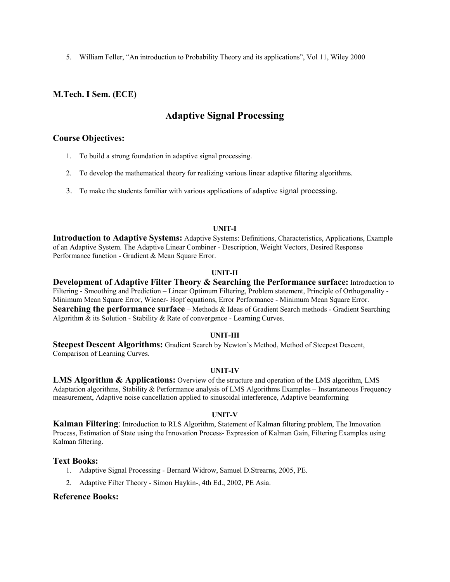5. William Feller, "An introduction to Probability Theory and its applications", Vol 11, Wiley 2000

## **M.Tech. I Sem. (ECE)**

# **Adaptive Signal Processing**

#### **Course Objectives:**

- 1. To build a strong foundation in adaptive signal processing.
- 2. To develop the mathematical theory for realizing various linear adaptive filtering algorithms.
- 3. To make the students familiar with various applications of adaptive signal processing.

#### **UNIT-I**

**Introduction to Adaptive Systems:** Adaptive Systems: Definitions, Characteristics, Applications, Example of an Adaptive System. The Adaptive Linear Combiner - Description, Weight Vectors, Desired Response Performance function - Gradient & Mean Square Error.

#### **UNIT-II**

**Development of Adaptive Filter Theory & Searching the Performance surface:** Introduction to Filtering - Smoothing and Prediction – Linear Optimum Filtering, Problem statement, Principle of Orthogonality - Minimum Mean Square Error, Wiener- Hopf equations, Error Performance - Minimum Mean Square Error. **Searching the performance surface** – Methods & Ideas of Gradient Search methods - Gradient Searching Algorithm & its Solution - Stability & Rate of convergence - Learning Curves.

#### **UNIT-III**

**Steepest Descent Algorithms:** Gradient Search by Newton's Method, Method of Steepest Descent, Comparison of Learning Curves.

#### **UNIT-IV**

**LMS Algorithm & Applications:** Overview of the structure and operation of the LMS algorithm, LMS Adaptation algorithms, Stability & Performance analysis of LMS Algorithms Examples – Instantaneous Frequency measurement, Adaptive noise cancellation applied to sinusoidal interference, Adaptive beamforming

#### **UNIT-V**

**Kalman Filtering**: Introduction to RLS Algorithm, Statement of Kalman filtering problem, The Innovation Process, Estimation of State using the Innovation Process- Expression of Kalman Gain, Filtering Examples using Kalman filtering.

#### **Text Books:**

- 1. Adaptive Signal Processing Bernard Widrow, Samuel D.Strearns, 2005, PE.
- 2. Adaptive Filter Theory Simon Haykin-, 4th Ed., 2002, PE Asia.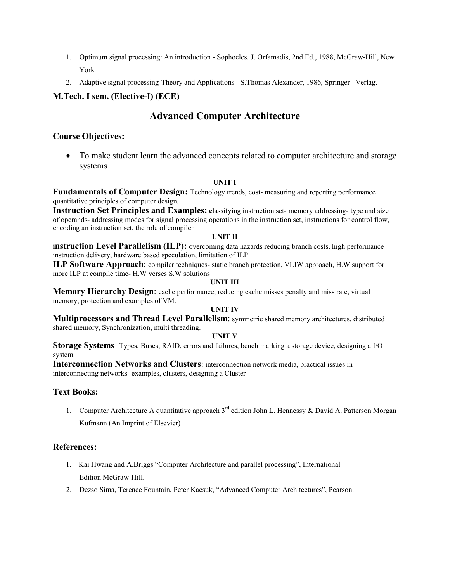- 1. Optimum signal processing: An introduction Sophocles. J. Orfamadis, 2nd Ed., 1988, McGraw-Hill, New York
- 2. Adaptive signal processing-Theory and Applications S.Thomas Alexander, 1986, Springer –Verlag.

# **M.Tech. I sem. (Elective-I) (ECE)**

# **Advanced Computer Architecture**

# **Course Objectives:**

 To make student learn the advanced concepts related to computer architecture and storage systems

## **UNIT I**

**Fundamentals of Computer Design:** Technology trends, cost- measuring and reporting performance quantitative principles of computer design.

**Instruction Set Principles and Examples:** classifying instruction set- memory addressing- type and size of operands- addressing modes for signal processing operations in the instruction set, instructions for control flow, encoding an instruction set, the role of compiler

#### **UNIT II**

**instruction Level Parallelism (ILP):** overcoming data hazards reducing branch costs, high performance instruction delivery, hardware based speculation, limitation of ILP

**ILP Software Approach**: compiler techniques- static branch protection, VLIW approach, H.W support for more ILP at compile time- H.W verses S.W solutions

#### **UNIT III**

**Memory Hierarchy Design**: cache performance, reducing cache misses penalty and miss rate, virtual memory, protection and examples of VM.

## **UNIT IV**

**Multiprocessors and Thread Level Parallelism**: symmetric shared memory architectures, distributed shared memory, Synchronization, multi threading.

## **UNIT V**

**Storage Systems**- Types, Buses, RAID, errors and failures, bench marking a storage device, designing a I/O system.

**Interconnection Networks and Clusters**: interconnection network media, practical issues in interconnecting networks- examples, clusters, designing a Cluster

## **Text Books:**

1. Computer Architecture A quantitative approach 3<sup>rd</sup> edition John L. Hennessy & David A. Patterson Morgan Kufmann (An Imprint of Elsevier)

## **References:**

- 1. Kai Hwang and A.Briggs "Computer Architecture and parallel processing", International Edition McGraw-Hill.
- 2. Dezso Sima, Terence Fountain, Peter Kacsuk, "Advanced Computer Architectures", Pearson.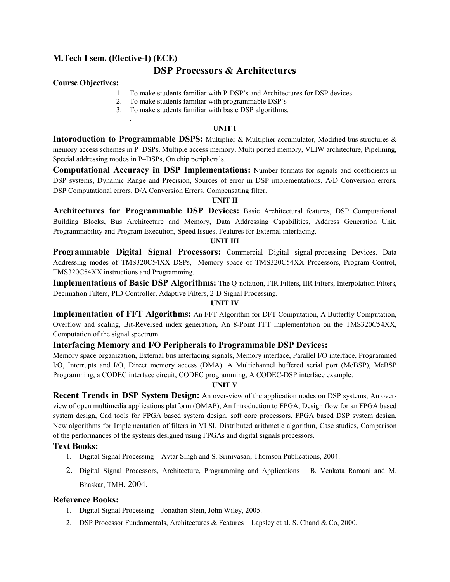# **M.Tech I sem. (Elective-I) (ECE)**

.

# **DSP Processors & Architectures**

## **Course Objectives:**

- 1. To make students familiar with P-DSP's and Architectures for DSP devices.
- 2. To make students familiar with programmable DSP's
- 3. To make students familiar with basic DSP algorithms.

#### **UNIT I**

**Intoroduction to Programmable DSPS:** Multiplier & Multiplier accumulator, Modified bus structures & memory access schemes in P–DSPs, Multiple access memory, Multi ported memory, VLIW architecture, Pipelining, Special addressing modes in P–DSPs, On chip peripherals.

**Computational Accuracy in DSP Implementations:** Number formats for signals and coefficients in DSP systems, Dynamic Range and Precision, Sources of error in DSP implementations, A/D Conversion errors, DSP Computational errors, D/A Conversion Errors, Compensating filter.

## **UNIT II**

**Architectures for Programmable DSP Devices:** Basic Architectural features, DSP Computational Building Blocks, Bus Architecture and Memory, Data Addressing Capabilities, Address Generation Unit, Programmability and Program Execution, Speed Issues, Features for External interfacing.

#### **UNIT III**

**Programmable Digital Signal Processors:** Commercial Digital signal-processing Devices, Data Addressing modes of TMS320C54XX DSPs, Memory space of TMS320C54XX Processors, Program Control, TMS320C54XX instructions and Programming.

**Implementations of Basic DSP Algorithms:** The Q-notation, FIR Filters, IIR Filters, Interpolation Filters, Decimation Filters, PID Controller, Adaptive Filters, 2-D Signal Processing.

## **UNIT IV**

**Implementation of FFT Algorithms:** An FFT Algorithm for DFT Computation, A Butterfly Computation, Overflow and scaling, Bit-Reversed index generation, An 8-Point FFT implementation on the TMS320C54XX, Computation of the signal spectrum.

## **Interfacing Memory and I/O Peripherals to Programmable DSP Devices:**

Memory space organization, External bus interfacing signals, Memory interface, Parallel I/O interface, Programmed I/O, Interrupts and I/O, Direct memory access (DMA). A Multichannel buffered serial port (McBSP), McBSP Programming, a CODEC interface circuit, CODEC programming, A CODEC-DSP interface example.

#### **UNIT V**

**Recent Trends in DSP System Design:** An over-view of the application nodes on DSP systems, An overview of open multimedia applications platform (OMAP), An Introduction to FPGA, Design flow for an FPGA based system design, Cad tools for FPGA based system design, soft core processors, FPGA based DSP system design, New algorithms for Implementation of filters in VLSI, Distributed arithmetic algorithm, Case studies, Comparison of the performances of the systems designed using FPGAs and digital signals processors.

## **Text Books:**

- 1. Digital Signal Processing Avtar Singh and S. Srinivasan, Thomson Publications, 2004.
- 2. Digital Signal Processors, Architecture, Programming and Applications B. Venkata Ramani and M. Bhaskar, TMH, 2004.

- 1. Digital Signal Processing Jonathan Stein, John Wiley, 2005.
- 2. DSP Processor Fundamentals, Architectures & Features Lapsley et al. S. Chand & Co, 2000.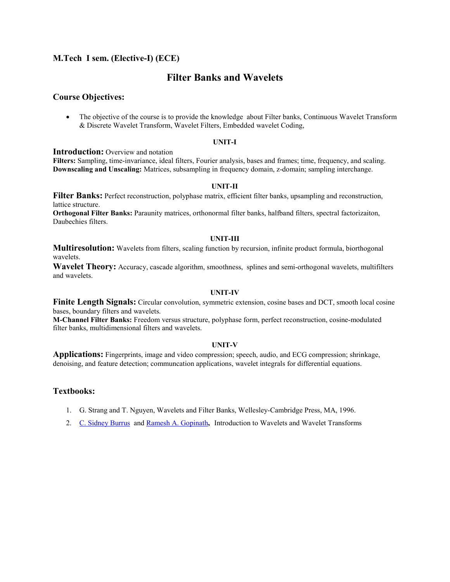## **M.Tech I sem. (Elective-I) (ECE)**

# **Filter Banks and Wavelets**

#### **Course Objectives:**

• The objective of the course is to provide the knowledge about Filter banks, Continuous Wavelet Transform & Discrete Wavelet Transform, Wavelet Filters, Embedded wavelet Coding,

#### **UNIT-I**

**Introduction:** Overview and notation

**Filters:** Sampling, time-invariance, ideal filters, Fourier analysis, bases and frames; time, frequency, and scaling. **Downscaling and Unscaling:** Matrices, subsampling in frequency domain, z-domain; sampling interchange.

#### **UNIT-II**

**Filter Banks:** Perfect reconstruction, polyphase matrix, efficient filter banks, upsampling and reconstruction, lattice structure.

**Orthogonal Filter Banks:** Paraunity matrices, orthonormal filter banks, halfband filters, spectral factorizaiton, Daubechies filters.

#### **UNIT-III**

**Multiresolution:** Wavelets from filters, scaling function by recursion, infinite product formula, biorthogonal wavelets.

**Wavelet Theory:** Accuracy, cascade algorithm, smoothness, splines and semi-orthogonal wavelets, multifilters and wavelets.

#### **UNIT-IV**

**Finite Length Signals:** Circular convolution, symmetric extension, cosine bases and DCT, smooth local cosine bases, boundary filters and wavelets.

**M-Channel Filter Banks:** Freedom versus structure, polyphase form, perfect reconstruction, cosine-modulated filter banks, multidimensional filters and wavelets.

#### **UNIT-V**

**Applications:** Fingerprints, image and video compression; speech, audio, and ECG compression; shrinkage, denoising, and feature detection; communcation applications, wavelet integrals for differential equations.

## **Textbooks:**

- 1. G. Strang and T. Nguyen, Wavelets and Filter Banks, Wellesley-Cambridge Press, MA, 1996.
- 2. C. Sidney Burrus and Ramesh A. Gopinath, Introduction to Wavelets and Wavelet Transforms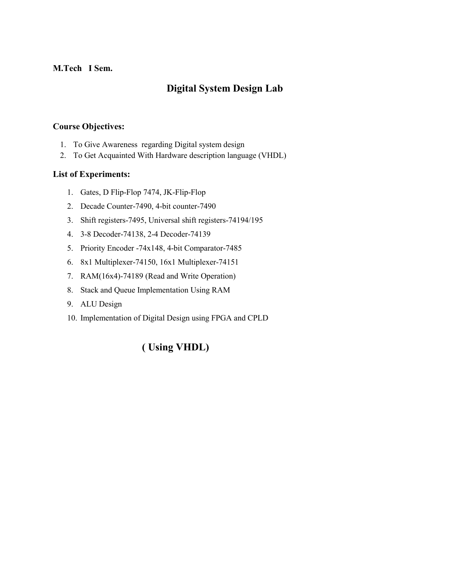# **M.Tech I Sem.**

# **Digital System Design Lab**

# **Course Objectives:**

- 1. To Give Awareness regarding Digital system design
- 2. To Get Acquainted With Hardware description language (VHDL)

# **List of Experiments:**

- 1. Gates, D Flip-Flop 7474, JK-Flip-Flop
- 2. Decade Counter-7490, 4-bit counter-7490
- 3. Shift registers-7495, Universal shift registers-74194/195
- 4. 3-8 Decoder-74138, 2-4 Decoder-74139
- 5. Priority Encoder -74x148, 4-bit Comparator-7485
- 6. 8x1 Multiplexer-74150, 16x1 Multiplexer-74151
- 7. RAM(16x4)-74189 (Read and Write Operation)
- 8. Stack and Queue Implementation Using RAM
- 9. ALU Design
- 10. Implementation of Digital Design using FPGA and CPLD

# **( Using VHDL)**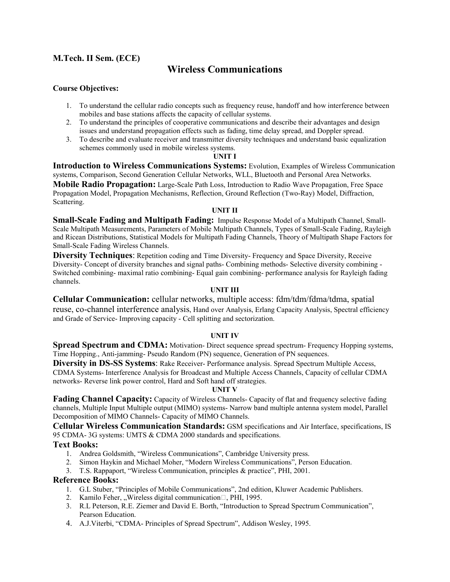# **Wireless Communications**

## **Course Objectives:**

- 1. To understand the cellular radio concepts such as frequency reuse, handoff and how interference between mobiles and base stations affects the capacity of cellular systems.
- 2. To understand the principles of cooperative communications and describe their advantages and design issues and understand propagation effects such as fading, time delay spread, and Doppler spread.
- 3. To describe and evaluate receiver and transmitter diversity techniques and understand basic equalization schemes commonly used in mobile wireless systems.

#### **UNIT I**

**Introduction to Wireless Communications Systems:** Evolution, Examples of Wireless Communication systems, Comparison, Second Generation Cellular Networks, WLL, Bluetooth and Personal Area Networks.

**Mobile Radio Propagation:** Large-Scale Path Loss, Introduction to Radio Wave Propagation, Free Space Propagation Model, Propagation Mechanisms, Reflection, Ground Reflection (Two-Ray) Model, Diffraction, Scattering.

#### **UNIT II**

**Small-Scale Fading and Multipath Fading:** Impulse Response Model of a Multipath Channel, Small-Scale Multipath Measurements, Parameters of Mobile Multipath Channels, Types of Small-Scale Fading, Rayleigh and Ricean Distributions, Statistical Models for Multipath Fading Channels, Theory of Multipath Shape Factors for Small-Scale Fading Wireless Channels.

**Diversity Techniques**: Repetition coding and Time Diversity- Frequency and Space Diversity, Receive Diversity- Concept of diversity branches and signal paths- Combining methods- Selective diversity combining - Switched combining- maximal ratio combining- Equal gain combining- performance analysis for Rayleigh fading channels.

#### **UNIT III**

**Cellular Communication:** cellular networks, multiple access: fdm/tdm/fdma/tdma, spatial reuse, co-channel interference analysis, Hand over Analysis, Erlang Capacity Analysis, Spectral efficiency and Grade of Service- Improving capacity - Cell splitting and sectorization.

## **UNIT IV**

**Spread Spectrum and CDMA:** Motivation-Direct sequence spread spectrum- Frequency Hopping systems, Time Hopping., Anti-jamming- Pseudo Random (PN) sequence, Generation of PN sequences.

**Diversity in DS-SS Systems**: Rake Receiver- Performance analysis. Spread Spectrum Multiple Access, CDMA Systems- Interference Analysis for Broadcast and Multiple Access Channels, Capacity of cellular CDMA networks- Reverse link power control, Hard and Soft hand off strategies.

#### **UNIT V**

**Fading Channel Capacity:** Capacity of Wireless Channels- Capacity of flat and frequency selective fading channels, Multiple Input Multiple output (MIMO) systems- Narrow band multiple antenna system model, Parallel Decomposition of MIMO Channels- Capacity of MIMO Channels.

**Cellular Wireless Communication Standards:** GSM specifications and Air Interface, specifications, IS 95 CDMA- 3G systems: UMTS & CDMA 2000 standards and specifications.

## **Text Books:**

- 1. Andrea Goldsmith, "Wireless Communications", Cambridge University press.
- 2. Simon Haykin and Michael Moher, "Modern Wireless Communications", Person Education.
- 3. T.S. Rappaport, "Wireless Communication, principles & practice", PHI, 2001.

- 1. G.L Stuber, "Principles of Mobile Communications", 2nd edition, Kluwer Academic Publishers.
- 2. Kamilo Feher, "Wireless digital communication $\Box$ , PHI, 1995.
- 3. R.L Peterson, R.E. Ziemer and David E. Borth, "Introduction to Spread Spectrum Communication", Pearson Education.
- 4. A.J.Viterbi, "CDMA- Principles of Spread Spectrum", Addison Wesley, 1995.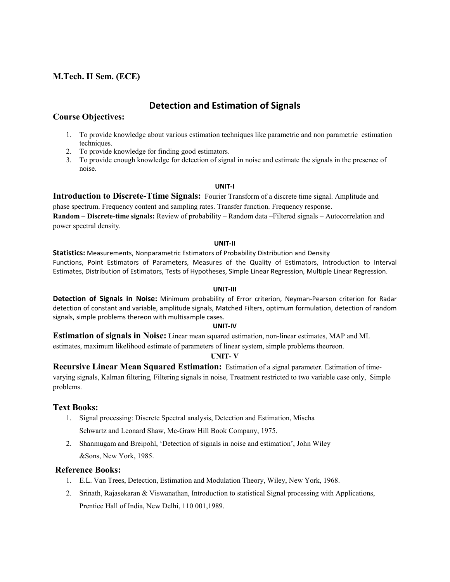# **Detection and Estimation of Signals**

## **Course Objectives:**

- 1. To provide knowledge about various estimation techniques like parametric and non parametric estimation techniques.
- 2. To provide knowledge for finding good estimators.
- 3. To provide enough knowledge for detection of signal in noise and estimate the signals in the presence of noise.

#### **UNIT-I**

**Introduction to Discrete-Ttime Signals:** Fourier Transform of a discrete time signal. Amplitude and phase spectrum. Frequency content and sampling rates. Transfer function. Frequency response. **Random – Discrete-time signals:** Review of probability – Random data –Filtered signals – Autocorrelation and power spectral density.

#### **UNIT-II**

**Statistics:** Measurements, Nonparametric Estimators of Probability Distribution and Density Functions, Point Estimators of Parameters, Measures of the Quality of Estimators, Introduction to Interval Estimates, Distribution of Estimators, Tests of Hypotheses, Simple Linear Regression, Multiple Linear Regression.

#### **UNIT-III**

**Detection of Signals in Noise:** Minimum probability of Error criterion, Neyman-Pearson criterion for Radar detection of constant and variable, amplitude signals, Matched Filters, optimum formulation, detection of random signals, simple problems thereon with multisample cases.

#### **UNIT-IV**

**Estimation of signals in Noise:** Linear mean squared estimation, non-linear estimates, MAP and ML estimates, maximum likelihood estimate of parameters of linear system, simple problems theoreon.

#### **UNIT- V**

**Recursive Linear Mean Squared Estimation:** Estimation of a signal parameter. Estimation of timevarying signals, Kalman filtering, Filtering signals in noise, Treatment restricted to two variable case only, Simple problems.

## **Text Books:**

- 1. Signal processing: Discrete Spectral analysis, Detection and Estimation, Mischa Schwartz and Leonard Shaw, Mc-Graw Hill Book Company, 1975.
- 2. Shanmugam and Breipohl, 'Detection of signals in noise and estimation', John Wiley &Sons, New York, 1985.

- 1. E.L. Van Trees, Detection, Estimation and Modulation Theory, Wiley, New York, 1968.
- 2. Srinath, Rajasekaran & Viswanathan, Introduction to statistical Signal processing with Applications, Prentice Hall of India, New Delhi, 110 001,1989.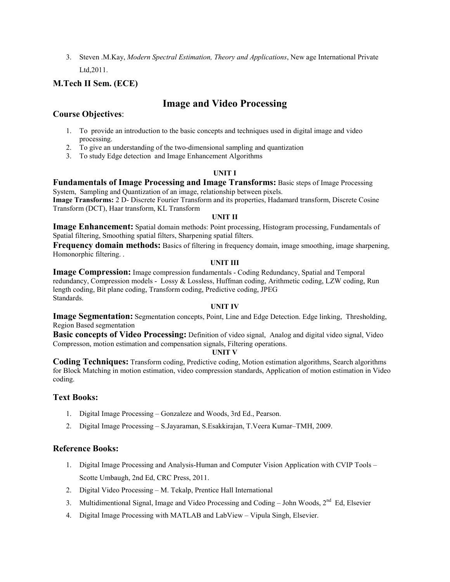3. Steven .M.Kay, *Modern Spectral Estimation, Theory and Applications*, New age International Private Ltd,2011.

# **M.Tech II Sem. (ECE)**

# **Image and Video Processing**

# **Course Objectives**:

- 1. To provide an introduction to the basic concepts and techniques used in digital image and video processing.
- 2. To give an understanding of the two-dimensional sampling and quantization
- 3. To study Edge detection and Image Enhancement Algorithms

## **UNIT I**

**Fundamentals of Image Processing and Image Transforms:** Basic steps of Image Processing System, Sampling and Quantization of an image, relationship between pixels.

**Image Transforms:** 2 D- Discrete Fourier Transform and its properties, Hadamard transform, Discrete Cosine Transform (DCT), Haar transform, KL Transform

## **UNIT II**

**Image Enhancement:** Spatial domain methods: Point processing, Histogram processing, Fundamentals of Spatial filtering, Smoothing spatial filters, Sharpening spatial filters.

**Frequency domain methods:** Basics of filtering in frequency domain, image smoothing, image sharpening, Homonorphic filtering. .

## **UNIT III**

**Image Compression:** Image compression fundamentals - Coding Redundancy, Spatial and Temporal redundancy, Compression models - Lossy & Lossless, Huffman coding, Arithmetic coding, LZW coding, Run length coding, Bit plane coding, Transform coding, Predictive coding, JPEG Standards.

## **UNIT IV**

**Image Segmentation:** Segmentation concepts, Point, Line and Edge Detection. Edge linking, Thresholding, Region Based segmentation

**Basic concepts of Video Processing:** Definition of video signal, Analog and digital video signal, Video Compresson, motion estimation and compensation signals, Filtering operations.

## **UNIT V**

**Coding Techniques:** Transform coding, Predictive coding, Motion estimation algorithms, Search algorithms for Block Matching in motion estimation, video compression standards, Application of motion estimation in Video coding.

## **Text Books:**

- 1. Digital Image Processing Gonzaleze and Woods, 3rd Ed., Pearson.
- 2. Digital Image Processing S.Jayaraman, S.Esakkirajan, T.Veera Kumar–TMH, 2009.

- 1. Digital Image Processing and Analysis-Human and Computer Vision Application with CVIP Tools Scotte Umbaugh, 2nd Ed, CRC Press, 2011.
- 2. Digital Video Processing M. Tekalp, Prentice Hall International
- 3. Multidimentional Signal, Image and Video Processing and Coding John Woods, 2<sup>nd</sup> Ed, Elsevier
- 4. Digital Image Processing with MATLAB and LabView Vipula Singh, Elsevier.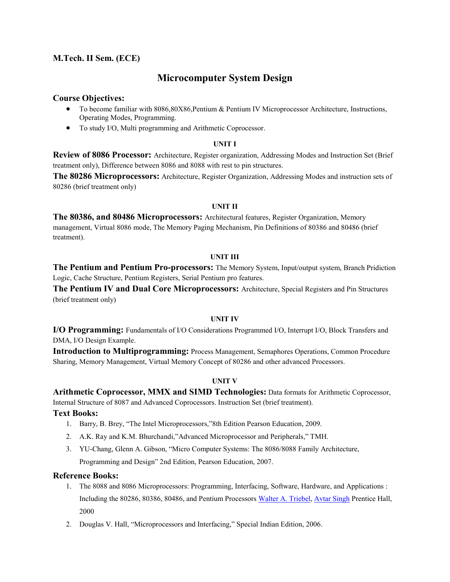# **Microcomputer System Design**

## **Course Objectives:**

- To become familiar with 8086,80X86,Pentium & Pentium IV Microprocessor Architecture, Instructions, Operating Modes, Programming.
- To study I/O, Multi programming and Arithmetic Coprocessor.

#### **UNIT I**

**Review of 8086 Processor:** Architecture, Register organization, Addressing Modes and Instruction Set (Brief treatment only), Difference between 8086 and 8088 with rest to pin structures.

**The 80286 Microprocessors:** Architecture, Register Organization, Addressing Modes and instruction sets of 80286 (brief treatment only)

## **UNIT II**

**The 80386, and 80486 Microprocessors:** Architectural features, Register Organization, Memory management, Virtual 8086 mode, The Memory Paging Mechanism, Pin Definitions of 80386 and 80486 (brief treatment).

#### **UNIT III**

**The Pentium and Pentium Pro-processors:** The Memory System, Input/output system, Branch Pridiction Logic, Cache Structure, Pentium Registers, Serial Pentium pro features.

**The Pentium IV and Dual Core Microprocessors:** Architecture, Special Registers and Pin Structures (brief treatment only)

## **UNIT IV**

**I/O Programming:** Fundamentals of I/O Considerations Programmed I/O, Interrupt I/O, Block Transfers and DMA, I/O Design Example.

**Introduction to Multiprogramming:** Process Management, Semaphores Operations, Common Procedure Sharing, Memory Management, Virtual Memory Concept of 80286 and other advanced Processors.

## **UNIT V**

**Arithmetic Coprocessor, MMX and SIMD Technologies:** Data formats for Arithmetic Coprocessor, Internal Structure of 8087 and Advanced Coprocessors. Instruction Set (brief treatment).

**Text Books:** 

- 1. Barry, B. Brey, "The Intel Microprocessors,"8th Edition Pearson Education, 2009.
- 2. A.K. Ray and K.M. Bhurchandi,"Advanced Microprocessor and Peripherals," TMH.
- 3. YU-Chang, Glenn A. Gibson, "Micro Computer Systems: The 8086/8088 Family Architecture, Programming and Design" 2nd Edition, Pearson Education, 2007.

- 1. The 8088 and 8086 Microprocessors: Programming, Interfacing, Software, Hardware, and Applications : Including the 80286, 80386, 80486, and Pentium Processors [Walter A. Trieb](http://www.google.co.in/search?tbo=p&tbm=bks&q=inauthor:%22Walter+A.+Triebel%22)el, [Avtar Sing](http://www.google.co.in/search?tbo=p&tbm=bks&q=inauthor:%22Avtar+Singh%22)h Prentice Hall, 2000
- 2. Douglas V. Hall, "Microprocessors and Interfacing," Special Indian Edition, 2006.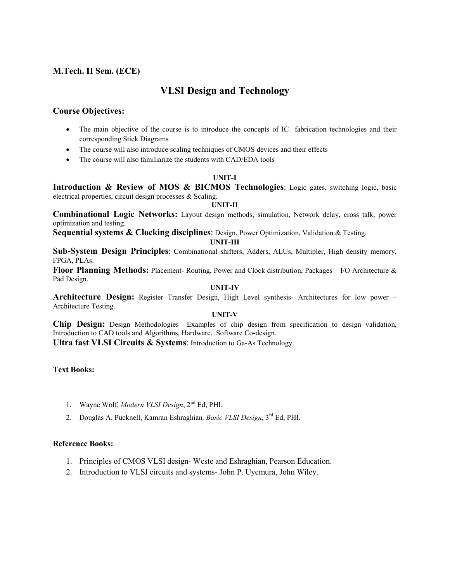# **VLSI Design and Technology**

## **Course Objectives:**

- The main objective of the course is to introduce the concepts of IC fabrication technologies and their corresponding Stick Diagrams
- The course will also introduce scaling techniques of CMOS devices and their effects
- The course will also familiarize the students with CAD/EDA tools

## **UNIT-I**

**Introduction & Review of MOS & BICMOS Technologies**: Logic gates, switching logic, basic electrical properties, circuit design processes & Scaling.

#### **UNIT-II**

**Combinational Logic Networks:** Layout design methods, simulation, Network delay, cross talk, power optimization and testing.

**Sequential systems & Clocking disciplines**: Design, Power Optimization, Validation & Testing.

#### **UNIT-III**

**Sub-System Design Principles**: Combinational shifters, Adders, ALUs, Multipler, High density memory, FPGA, PLAs.

**Floor Planning Methods:** Placement- Routing, Power and Clock distribution, Packages – I/O Architecture & Pad Design.

## **UNIT-IV**

**Architecture Design:** Register Transfer Design, High Level synthesis- Architectures for low power – Architecture Testing.

#### **UNIT-V**

**Chip Design:** Design Methodologies– Examples of chip design from specification to design validation, Introduction to CAD tools and Algorithms, Hardware, Software Co-design.

**Ultra fast VLSI Circuits & Systems**: Introduction to Ga-As Technology.

## **Text Books:**

- 1. Wayne Wolf, *Modern VLSI Design*, 2nd Ed, PHI.
- 2. Douglas A. Pucknell, Kamran Eshraghian*, Basic VLSI Design*, 3rd Ed, PHI.

- 1. Principles of CMOS VLSI design- Weste and Eshraghian, Pearson Education.
- 2. Introduction to VLSI circuits and systems- John P. Uyemura, John Wiley.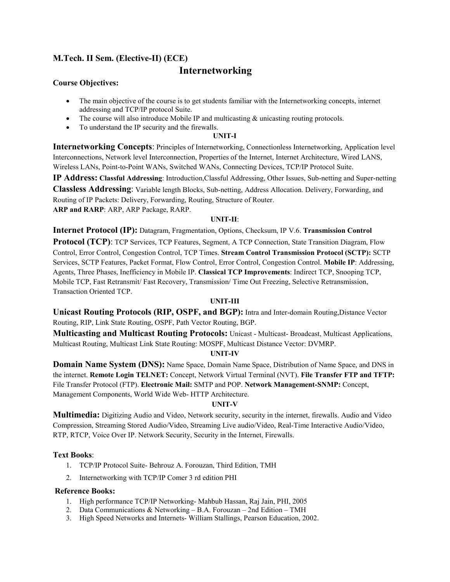# **M.Tech. II Sem. (Elective-II) (ECE)**

# **Internetworking**

## **Course Objectives:**

- The main objective of the course is to get students familiar with the Internetworking concepts, internet addressing and TCP/IP protocol Suite.
- The course will also introduce Mobile IP and multicasting & unicasting routing protocols.
- To understand the IP security and the firewalls.

## **UNIT-I**

**Internetworking Concepts**: Principles of Internetworking, Connectionless Internetworking, Application level Interconnections, Network level Interconnection, Properties of the Internet, Internet Architecture, Wired LANS, Wireless LANs, Point-to-Point WANs, Switched WANs, Connecting Devices, TCP/IP Protocol Suite.

**IP Address: Classful Addressing**: Introduction,Classful Addressing, Other Issues, Sub-netting and Super-netting **Classless Addressing**: Variable length Blocks, Sub-netting, Address Allocation. Delivery, Forwarding, and Routing of IP Packets: Delivery, Forwarding, Routing, Structure of Router. **ARP and RARP**: ARP, ARP Package, RARP.

#### **UNIT-II**:

**Internet Protocol (IP):** Datagram, Fragmentation, Options, Checksum, IP V.6. **Transmission Control Protocol (TCP)**: TCP Services, TCP Features, Segment, A TCP Connection, State Transition Diagram, Flow Control, Error Control, Congestion Control, TCP Times. **Stream Control Transmission Protocol (SCTP):** SCTP Services, SCTP Features, Packet Format, Flow Control, Error Control, Congestion Control. **Mobile IP**: Addressing, Agents, Three Phases, Inefficiency in Mobile IP. **Classical TCP Improvements**: Indirect TCP, Snooping TCP, Mobile TCP, Fast Retransmit/ Fast Recovery, Transmission/ Time Out Freezing, Selective Retransmission, Transaction Oriented TCP.

## **UNIT-III**

**Unicast Routing Protocols (RIP, OSPF, and BGP):** Intra and Inter-domain Routing,Distance Vector Routing, RIP, Link State Routing, OSPF, Path Vector Routing, BGP.

**Multicasting and Multicast Routing Protocols:** Unicast - Multicast- Broadcast, Multicast Applications, Multicast Routing, Multicast Link State Routing: MOSPF, Multicast Distance Vector: DVMRP.

## **UNIT-IV**

**Domain Name System (DNS):** Name Space, Domain Name Space, Distribution of Name Space, and DNS in the internet. **Remote Login TELNET:** Concept, Network Virtual Terminal (NVT). **File Transfer FTP and TFTP:** File Transfer Protocol (FTP). **Electronic Mail:** SMTP and POP. **Network Management-SNMP:** Concept, Management Components, World Wide Web- HTTP Architecture.

## **UNIT-V**

**Multimedia:** Digitizing Audio and Video, Network security, security in the internet, firewalls. Audio and Video Compression, Streaming Stored Audio/Video, Streaming Live audio/Video, Real-Time Interactive Audio/Video, RTP, RTCP, Voice Over IP. Network Security, Security in the Internet, Firewalls.

## **Text Books**:

- 1. TCP/IP Protocol Suite- Behrouz A. Forouzan, Third Edition, TMH
- 2. Internetworking with TCP/IP Comer 3 rd edition PHI

- 1. High performance TCP/IP Networking- Mahbub Hassan, Raj Jain, PHI, 2005
- 2. Data Communications & Networking B.A. Forouzan 2nd Edition TMH
- 3. High Speed Networks and Internets- William Stallings, Pearson Education, 2002.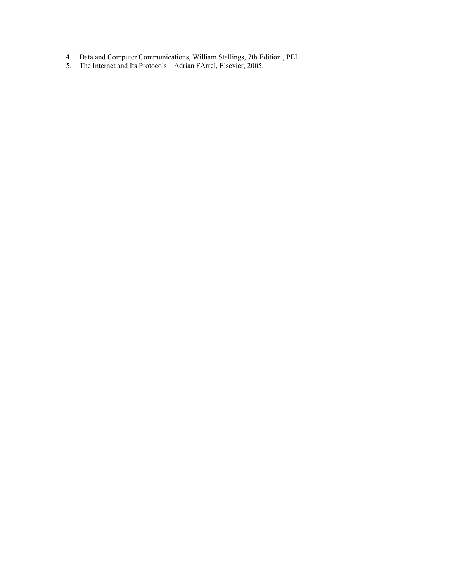- 4. Data and Computer Communications, William Stallings, 7th Edition., PEI.
- 5. The Internet and Its Protocols Adrian FArrel, Elsevier, 2005.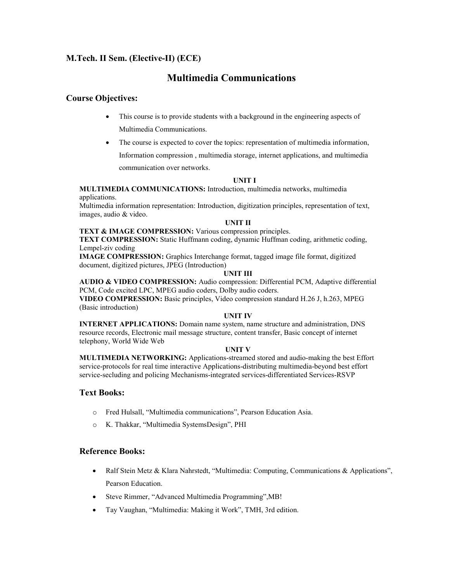# **M.Tech. II Sem. (Elective-II) (ECE)**

# **Multimedia Communications**

## **Course Objectives:**

- This course is to provide students with a background in the engineering aspects of Multimedia Communications.
- The course is expected to cover the topics: representation of multimedia information,

Information compression , multimedia storage, internet applications, and multimedia

communication over networks.

#### **UNIT I**

**MULTIMEDIA COMMUNICATIONS:** Introduction, multimedia networks, multimedia applications.

Multimedia information representation: Introduction, digitization principles, representation of text, images, audio & video.

#### **UNIT II**

**TEXT & IMAGE COMPRESSION:** Various compression principles.

**TEXT COMPRESSION:** Static Huffmann coding, dynamic Huffman coding, arithmetic coding, Lempel-ziv coding

**IMAGE COMPRESSION:** Graphics Interchange format, tagged image file format, digitized document, digitized pictures, JPEG (Introduction)

#### **UNIT III**

**AUDIO & VIDEO COMPRESSION:** Audio compression: Differential PCM, Adaptive differential PCM, Code excited LPC, MPEG audio coders, Dolby audio coders.

**VIDEO COMPRESSION:** Basic principles, Video compression standard H.26 J, h.263, MPEG (Basic introduction)

#### **UNIT IV**

**INTERNET APPLICATIONS:** Domain name system, name structure and administration, DNS resource records, Electronic mail message structure, content transfer, Basic concept of internet telephony, World Wide Web

#### **UNIT V**

**MULTIMEDIA NETWORKING:** Applications-streamed stored and audio-making the best Effort service-protocols for real time interactive Applications-distributing multimedia-beyond best effort service-secluding and policing Mechanisms-integrated services-differentiated Services-RSVP

## **Text Books:**

- o Fred Hulsall, "Multimedia communications", Pearson Education Asia.
- o K. Thakkar, "Multimedia SystemsDesign", PHI

- Ralf Stein Metz & Klara Nahrstedt, "Multimedia: Computing, Communications & Applications", Pearson Education.
- Steve Rimmer, "Advanced Multimedia Programming",MB!
- Tay Vaughan, "Multimedia: Making it Work", TMH, 3rd edition.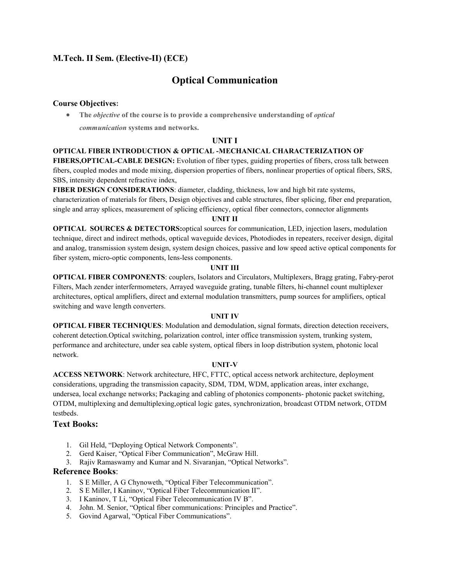# **M.Tech. II Sem. (Elective-II) (ECE)**

# **Optical Communication**

#### **Course Objectives:**

 **The** *objective* **of the course is to provide a comprehensive understanding of** *optical communication* **systems and networks.**

#### **UNIT I**

#### **OPTICAL FIBER INTRODUCTION & OPTICAL -MECHANICAL CHARACTERIZATION OF**

**FIBERS,OPTICAL-CABLE DESIGN:** Evolution of fiber types, guiding properties of fibers, cross talk between fibers, coupled modes and mode mixing, dispersion properties of fibers, nonlinear properties of optical fibers, SRS, SBS, intensity dependent refractive index,

**FIBER DESIGN CONSIDERATIONS**: diameter, cladding, thickness, low and high bit rate systems, characterization of materials for fibers, Design objectives and cable structures, fiber splicing, fiber end preparation, single and array splices, measurement of splicing efficiency, optical fiber connectors, connector alignments

#### **UNIT II**

**OPTICAL SOURCES & DETECTORS:** optical sources for communication, LED, injection lasers, modulation technique, direct and indirect methods, optical waveguide devices, Photodiodes in repeaters, receiver design, digital and analog, transmission system design, system design choices, passive and low speed active optical components for fiber system, micro-optic components, lens-less components.

#### **UNIT III**

**OPTICAL FIBER COMPONENTS**: couplers, Isolators and Circulators, Multiplexers, Bragg grating, Fabry-perot Filters, Mach zender interfermometers, Arrayed waveguide grating, tunable filters, hi-channel count multiplexer architectures, optical amplifiers, direct and external modulation transmitters, pump sources for amplifiers, optical switching and wave length converters.

#### **UNIT IV**

**OPTICAL FIBER TECHNIQUES**: Modulation and demodulation, signal formats, direction detection receivers, coherent detection.Optical switching, polarization control, inter office transmission system, trunking system, performance and architecture, under sea cable system, optical fibers in loop distribution system, photonic local network.

#### **UNIT-V**

**ACCESS NETWORK**: Network architecture, HFC, FTTC, optical access network architecture, deployment considerations, upgrading the transmission capacity, SDM, TDM, WDM, application areas, inter exchange, undersea, local exchange networks; Packaging and cabling of photonics components- photonic packet switching, OTDM, multiplexing and demultiplexing,optical logic gates, synchronization, broadcast OTDM network, OTDM testbeds.

## **Text Books:**

- 1. Gil Held, "Deploying Optical Network Components".
- 2. Gerd Kaiser, "Optical Fiber Communication", McGraw Hill.
- 3. Rajiv Ramaswamy and Kumar and N. Sivaranjan, "Optical Networks".

- 1. S E Miller, A G Chynoweth, "Optical Fiber Telecommunication".
- 2. S E Miller, I Kaninov, "Optical Fiber Telecommunication II".
- 3. I Kaninov, T Li, "Optical Fiber Telecommunication IV B".
- 4. John. M. Senior, "Optical fiber communications: Principles and Practice".
- 5. Govind Agarwal, "Optical Fiber Communications".